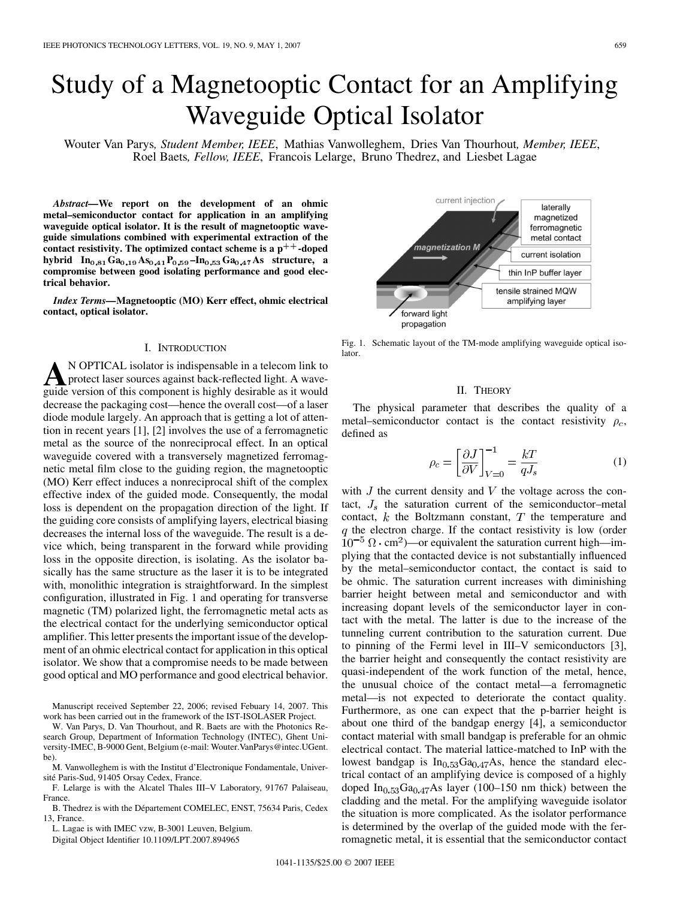# Study of a Magnetooptic Contact for an Amplifying Waveguide Optical Isolator

Wouter Van Parys*, Student Member, IEEE*, Mathias Vanwolleghem, Dries Van Thourhout*, Member, IEEE*, Roel Baets*, Fellow, IEEE*, Francois Lelarge, Bruno Thedrez, and Liesbet Lagae

*Abstract—***We report on the development of an ohmic metal–semiconductor contact for application in an amplifying waveguide optical isolator. It is the result of magnetooptic waveguide simulations combined with experimental extraction of the contact resistivity. The optimized contact scheme is a p**++**-doped hybrid**  $In_{0.81}Ga_{0.19}As_{0.41}P_{0.59} - In_{0.53}Ga_{0.47}As$  structure, a **compromise between good isolating performance and good electrical behavior.**

*Index Terms—***Magnetooptic (MO) Kerr effect, ohmic electrical contact, optical isolator.**

### I. INTRODUCTION

**A**N OPTICAL isolator is indispensable in a telecom link to protect laser sources against back-reflected light. A wave-<br>quide version of this component is highly desirable as it would guide version of this component is highly desirable as it would decrease the packaging cost—hence the overall cost—of a laser diode module largely. An approach that is getting a lot of attention in recent years [\[1\]](#page-2-0), [\[2\]](#page-2-0) involves the use of a ferromagnetic metal as the source of the nonreciprocal effect. In an optical waveguide covered with a transversely magnetized ferromagnetic metal film close to the guiding region, the magnetooptic (MO) Kerr effect induces a nonreciprocal shift of the complex effective index of the guided mode. Consequently, the modal loss is dependent on the propagation direction of the light. If the guiding core consists of amplifying layers, electrical biasing decreases the internal loss of the waveguide. The result is a device which, being transparent in the forward while providing loss in the opposite direction, is isolating. As the isolator basically has the same structure as the laser it is to be integrated with, monolithic integration is straightforward. In the simplest configuration, illustrated in Fig. 1 and operating for transverse magnetic (TM) polarized light, the ferromagnetic metal acts as the electrical contact for the underlying semiconductor optical amplifier. This letter presents the important issue of the development of an ohmic electrical contact for application in this optical isolator. We show that a compromise needs to be made between good optical and MO performance and good electrical behavior.

Manuscript received September 22, 2006; revised Febuary 14, 2007. This work has been carried out in the framework of the IST-ISOLASER Project.

W. Van Parys, D. Van Thourhout, and R. Baets are with the Photonics Research Group, Department of Information Technology (INTEC), Ghent University-IMEC, B-9000 Gent, Belgium (e-mail: Wouter.VanParys@intec.UGent. be).

M. Vanwolleghem is with the Institut d'Electronique Fondamentale, Université Paris-Sud, 91405 Orsay Cedex, France.

F. Lelarge is with the Alcatel Thales III–V Laboratory, 91767 Palaiseau, France.

B. Thedrez is with the Département COMELEC, ENST, 75634 Paris, Cedex 13, France.

L. Lagae is with IMEC vzw, B-3001 Leuven, Belgium.

Digital Object Identifier 10.1109/LPT.2007.894965

current injection laterally magnetized ferromagnetic metal contact .<br>magnetization M current isolation thin InP buffer layer tensile strained MQW amplifying layer forward light propagation

Fig. 1. Schematic layout of the TM-mode amplifying waveguide optical isolator.

#### II. THEORY

The physical parameter that describes the quality of a metal–semiconductor contact is the contact resistivity  $\rho_c$ , defined as

$$
\rho_c = \left[\frac{\partial J}{\partial V}\right]_{V=0}^{-1} = \frac{kT}{qJ_s} \tag{1}
$$

with  $J$  the current density and  $V$  the voltage across the contact,  $J_s$  the saturation current of the semiconductor–metal contact,  $k$  the Boltzmann constant,  $T$  the temperature and  $q$  the electron charge. If the contact resistivity is low (order  $10^{-5} \Omega \cdot \text{cm}^2$ )—or equivalent the saturation current high—implying that the contacted device is not substantially influenced by the metal–semiconductor contact, the contact is said to be ohmic. The saturation current increases with diminishing barrier height between metal and semiconductor and with increasing dopant levels of the semiconductor layer in contact with the metal. The latter is due to the increase of the tunneling current contribution to the saturation current. Due to pinning of the Fermi level in III–V semiconductors [\[3\],](#page-2-0) the barrier height and consequently the contact resistivity are quasi-independent of the work function of the metal, hence, the unusual choice of the contact metal—a ferromagnetic metal—is not expected to deteriorate the contact quality. Furthermore, as one can expect that the p-barrier height is about one third of the bandgap energy [\[4\]](#page-2-0), a semiconductor contact material with small bandgap is preferable for an ohmic electrical contact. The material lattice-matched to InP with the lowest bandgap is  $In<sub>0.53</sub>Ga<sub>0.47</sub>As$ , hence the standard electrical contact of an amplifying device is composed of a highly doped  $In<sub>0.53</sub>Ga<sub>0.47</sub>As layer (100–150 nm thick) between the$ cladding and the metal. For the amplifying waveguide isolator the situation is more complicated. As the isolator performance is determined by the overlap of the guided mode with the ferromagnetic metal, it is essential that the semiconductor contact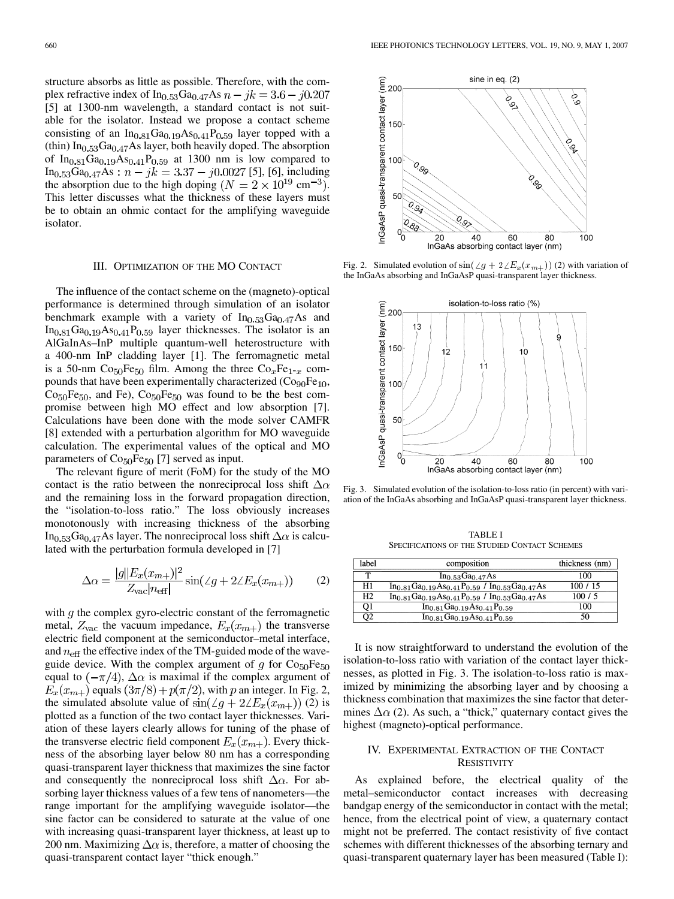structure absorbs as little as possible. Therefore, with the complex refractive index of  $In_{0.53}Ga_{0.47}As$   $n - jk = 3.6 - j0.207$ [\[5\]](#page-2-0) at 1300-nm wavelength, a standard contact is not suitable for the isolator. Instead we propose a contact scheme consisting of an  $In<sub>0.81</sub> Ga<sub>0.19</sub> As<sub>0.41</sub>P<sub>0.59</sub> layer topped with a$ (thin)  $In<sub>0.53</sub>Ga<sub>0.47</sub>As layer, both heavily doped. The absorption$ of  $In_{0.81}Ga_{0.19}As_{0.41}P_{0.59}$  at 1300 nm is low compared to  $In<sub>0.53</sub>Ga<sub>0.47</sub>As :  $n - jk = 3.37 - j0.0027$  [5], [6], including$  $In<sub>0.53</sub>Ga<sub>0.47</sub>As :  $n - jk = 3.37 - j0.0027$  [5], [6], including$  $In<sub>0.53</sub>Ga<sub>0.47</sub>As :  $n - jk = 3.37 - j0.0027$  [5], [6], including$ the absorption due to the high doping  $(N = 2 \times 10^{19} \text{ cm}^{-3})$ . This letter discusses what the thickness of these layers must be to obtain an ohmic contact for the amplifying waveguide isolator.

#### III. OPTIMIZATION OF THE MO CONTACT

The influence of the contact scheme on the (magneto)-optical performance is determined through simulation of an isolator benchmark example with a variety of  $In<sub>0.53</sub>Ga<sub>0.47</sub>As$  and  $In<sub>0.81</sub> Ga<sub>0.19</sub> As<sub>0.41</sub>P<sub>0.59</sub> layer thicknesses. The isolator is an$ AlGaInAs–InP multiple quantum-well heterostructure with a 400-nm InP cladding layer [\[1\].](#page-2-0) The ferromagnetic metal is a 50-nm  $Co<sub>50</sub>Fe<sub>50</sub>$  film. Among the three  $Co<sub>x</sub>Fe<sub>1-x</sub>$  compounds that have been experimentally characterized  $(Cog<sub>00</sub>Fe<sub>10</sub>)$ ,  $Co<sub>50</sub>Fe<sub>50</sub>$ , and Fe),  $Co<sub>50</sub>Fe<sub>50</sub>$  was found to be the best compromise between high MO effect and low absorption [\[7\]](#page-2-0). Calculations have been done with the mode solver CAMFR [\[8\]](#page-2-0) extended with a perturbation algorithm for MO waveguide calculation. The experimental values of the optical and MO parameters of  $Co<sub>50</sub>Fe<sub>50</sub>$  [\[7\]](#page-2-0) served as input.

The relevant figure of merit (FoM) for the study of the MO contact is the ratio between the nonreciprocal loss shift  $\Delta \alpha$ and the remaining loss in the forward propagation direction, the "isolation-to-loss ratio." The loss obviously increases monotonously with increasing thickness of the absorbing In<sub>0.53</sub>Ga<sub>0.47</sub>As layer. The nonreciprocal loss shift  $\Delta \alpha$  is calculated with the perturbation formula developed in [\[7\]](#page-2-0)

$$
\Delta \alpha = \frac{|g||E_x(x_{m+})|^2}{Z_{\text{vac}}|n_{\text{eff}}|} \sin(\angle g + 2\angle E_x(x_{m+})) \qquad (2)
$$

with  $q$  the complex gyro-electric constant of the ferromagnetic metal,  $Z_{\text{vac}}$  the vacuum impedance,  $E_x(x_{m+})$  the transverse electric field component at the semiconductor–metal interface, and  $n_{\text{eff}}$  the effective index of the TM-guided mode of the waveguide device. With the complex argument of q for  $Co<sub>50</sub>Fe<sub>50</sub>$ equal to  $(-\pi/4)$ ,  $\Delta \alpha$  is maximal if the complex argument of  $E_x(x_{m+})$  equals  $(3\pi/8) + p(\pi/2)$ , with p an integer. In Fig. 2, the simulated absolute value of  $\sin(\angle g + 2\angle E_x(x_{m+}))$  (2) is plotted as a function of the two contact layer thicknesses. Variation of these layers clearly allows for tuning of the phase of the transverse electric field component  $E_x(x_{m+})$ . Every thickness of the absorbing layer below 80 nm has a corresponding quasi-transparent layer thickness that maximizes the sine factor and consequently the nonreciprocal loss shift  $\Delta \alpha$ . For absorbing layer thickness values of a few tens of nanometers—the range important for the amplifying waveguide isolator—the sine factor can be considered to saturate at the value of one with increasing quasi-transparent layer thickness, at least up to 200 nm. Maximizing  $\Delta \alpha$  is, therefore, a matter of choosing the quasi-transparent contact layer "thick enough."



Fig. 2. Simulated evolution of  $\sin(\angle g + 2\angle E_x(x_{m+}))$  (2) with variation of the InGaAs absorbing and InGaAsP quasi-transparent layer thickness.



Fig. 3. Simulated evolution of the isolation-to-loss ratio (in percent) with variation of the InGaAs absorbing and InGaAsP quasi-transparent layer thickness.

TABLE I SPECIFICATIONS OF THE STUDIED CONTACT SCHEMES

| label | composition                                                    | thickness (nm) |
|-------|----------------------------------------------------------------|----------------|
|       | In <sub>0.53</sub> Ga <sub>0.47</sub> As                       | 100            |
| H1    | $In_{0.81}Ga_{0.19}As_{0.41}P_{0.59}$ / $In_{0.53}Ga_{0.47}As$ | 100 / 15       |
| H2    | $In_{0.81}Ga_{0.19}As_{0.41}P_{0.59}$ / $In_{0.53}Ga_{0.47}As$ | 100/5          |
| О1    | $In_{0.81}Ga_{0.19}As_{0.41}P_{0.59}$                          | 100            |
| O2    | $In_{0.81}Ga_{0.19}As_{0.41}P_{0.59}$                          | 50             |

It is now straightforward to understand the evolution of the isolation-to-loss ratio with variation of the contact layer thicknesses, as plotted in Fig. 3. The isolation-to-loss ratio is maximized by minimizing the absorbing layer and by choosing a thickness combination that maximizes the sine factor that determines  $\Delta \alpha$  (2). As such, a "thick," quaternary contact gives the highest (magneto)-optical performance.

## IV. EXPERIMENTAL EXTRACTION OF THE CONTACT **RESISTIVITY**

As explained before, the electrical quality of the metal–semiconductor contact increases with decreasing bandgap energy of the semiconductor in contact with the metal; hence, from the electrical point of view, a quaternary contact might not be preferred. The contact resistivity of five contact schemes with different thicknesses of the absorbing ternary and quasi-transparent quaternary layer has been measured (Table I):